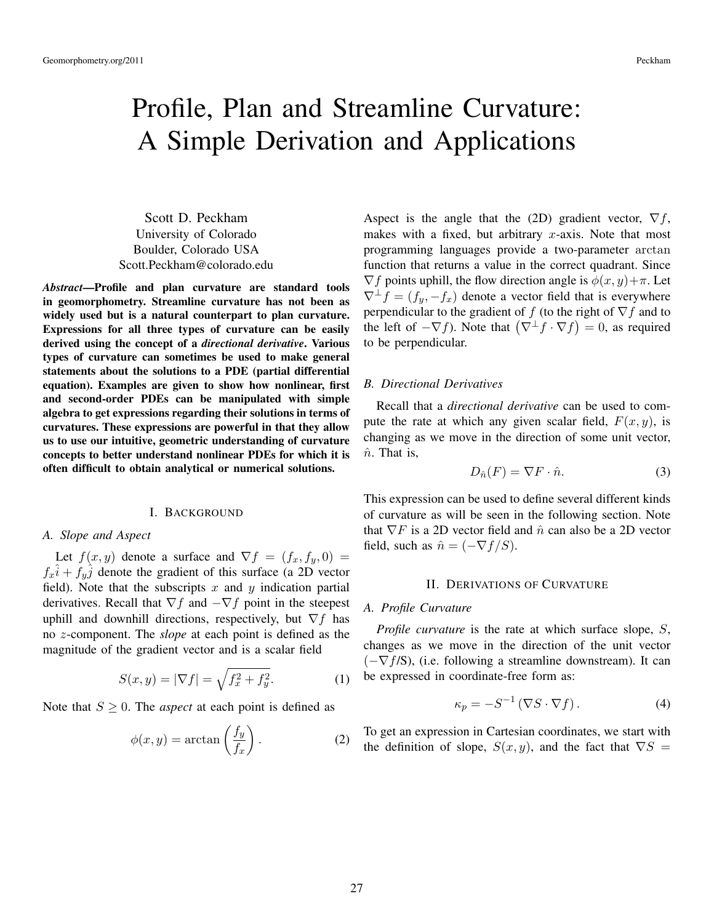# Profile, Plan and Streamline Curvature: A Simple Derivation and Applications

Scott D. Peckham University of Colorado Boulder, Colorado USA Scott.Peckham@colorado.edu

*Abstract*—Profile and plan curvature are standard tools in geomorphometry. Streamline curvature has not been as widely used but is a natural counterpart to plan curvature. Expressions for all three types of curvature can be easily derived using the concept of a *directional derivative*. Various types of curvature can sometimes be used to make general statements about the solutions to a PDE (partial differential equation). Examples are given to show how nonlinear, first and second-order PDEs can be manipulated with simple algebra to get expressions regarding their solutions in terms of curvatures. These expressions are powerful in that they allow us to use our intuitive, geometric understanding of curvature concepts to better understand nonlinear PDEs for which it is often difficult to obtain analytical or numerical solutions.

#### I. BACKGROUND

### *A. Slope and Aspect*

Let  $f(x, y)$  denote a surface and  $\nabla f = (f_x, f_y, 0)$  $f_x\hat{i} + f_y\hat{j}$  denote the gradient of this surface (a 2D vector field). Note that the subscripts x and y indication partial derivatives. Recall that  $\nabla f$  and  $-\nabla f$  point in the steepest uphill and downhill directions, respectively, but  $\nabla f$  has no z-component. The *slope* at each point is defined as the magnitude of the gradient vector and is a scalar field

$$
S(x, y) = |\nabla f| = \sqrt{f_x^2 + f_y^2}.
$$
 (1)

Note that  $S \geq 0$ . The *aspect* at each point is defined as

$$
\phi(x,y) = \arctan\left(\frac{f_y}{f_x}\right). \tag{2}
$$

Aspect is the angle that the (2D) gradient vector,  $\nabla f$ , makes with a fixed, but arbitrary  $x$ -axis. Note that most programming languages provide a two-parameter arctan function that returns a value in the correct quadrant. Since  $\nabla f$  points uphill, the flow direction angle is  $\phi(x, y) + \pi$ . Let  $\nabla^{\perp} f = (f_y, -f_x)$  denote a vector field that is everywhere perpendicular to the gradient of f (to the right of  $\nabla f$  and to the left of  $-\nabla f$ ). Note that  $(\nabla^{\perp} f \cdot \nabla f) = 0$ , as required to be perpendicular.

## *B. Directional Derivatives*

Recall that a *directional derivative* can be used to compute the rate at which any given scalar field,  $F(x, y)$ , is changing as we move in the direction of some unit vector,  $\hat{n}$ . That is,

$$
D_{\hat{n}}(F) = \nabla F \cdot \hat{n}.
$$
 (3)

This expression can be used to define several different kinds of curvature as will be seen in the following section. Note that  $\nabla F$  is a 2D vector field and  $\hat{n}$  can also be a 2D vector field, such as  $\hat{n} = (-\nabla f/S)$ .

#### II. DERIVATIONS OF CURVATURE

### *A. Profile Curvature*

*Profile curvature* is the rate at which surface slope, S, changes as we move in the direction of the unit vector  $(-\nabla f/S)$ , (i.e. following a streamline downstream). It can be expressed in coordinate-free form as:

$$
\kappa_p = -S^{-1} \left( \nabla S \cdot \nabla f \right). \tag{4}
$$

To get an expression in Cartesian coordinates, we start with the definition of slope,  $S(x, y)$ , and the fact that  $\nabla S =$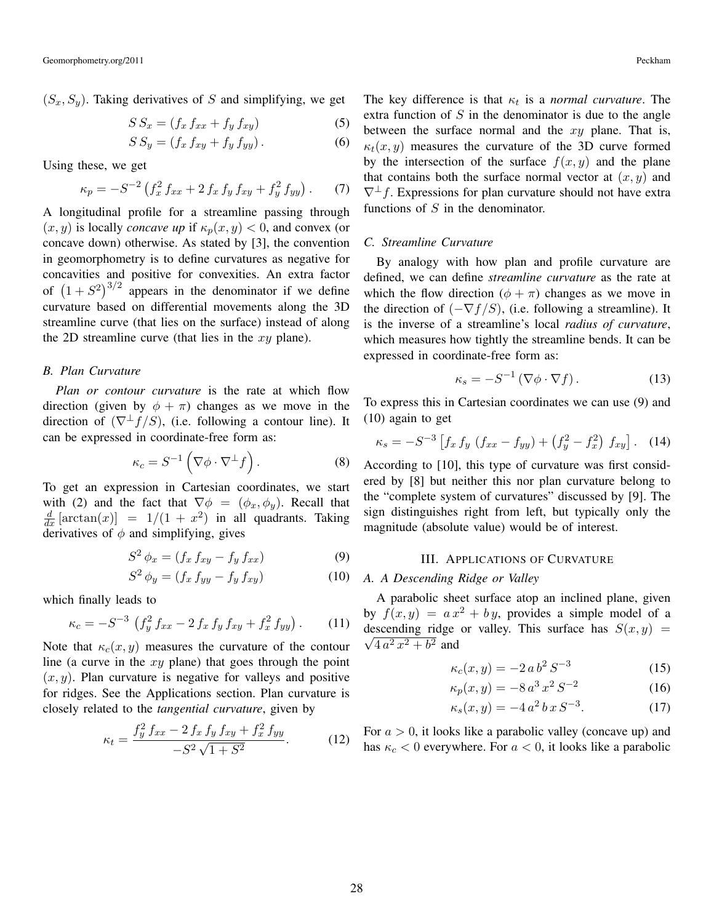$(S_x, S_y)$ . Taking derivatives of S and simplifying, we get

$$
S S_x = (f_x f_{xx} + f_y f_{xy})
$$
 (5)

$$
S S_y = (f_x f_{xy} + f_y f_{yy}). \tag{6}
$$

Using these, we get

$$
\kappa_p = -S^{-2} \left( f_x^2 f_{xx} + 2 f_x f_y f_{xy} + f_y^2 f_{yy} \right). \tag{7}
$$

A longitudinal profile for a streamline passing through  $(x, y)$  is locally *concave up* if  $\kappa_p(x, y) < 0$ , and convex (or concave down) otherwise. As stated by [3], the convention in geomorphometry is to define curvatures as negative for concavities and positive for convexities. An extra factor of  $(1+S^2)^{3/2}$  appears in the denominator if we define curvature based on differential movements along the 3D streamline curve (that lies on the surface) instead of along the 2D streamline curve (that lies in the  $xy$  plane).

## *B. Plan Curvature*

*Plan or contour curvature* is the rate at which flow direction (given by  $\phi + \pi$ ) changes as we move in the direction of  $(\nabla^{\perp} f/S)$ , (i.e. following a contour line). It can be expressed in coordinate-free form as:

$$
\kappa_c = S^{-1} \left( \nabla \phi \cdot \nabla^{\perp} f \right). \tag{8}
$$

To get an expression in Cartesian coordinates, we start with (2) and the fact that  $\nabla \phi = (\phi_x, \phi_y)$ . Recall that  $\frac{d}{dx}$  [arctan(x)] = 1/(1 + x<sup>2</sup>) in all quadrants. Taking derivatives of  $\phi$  and simplifying, gives

$$
S2 \phi_x = (f_x f_{xy} - f_y f_{xx})
$$
 (9)

$$
S2 \phi_y = (f_x f_{yy} - f_y f_{xy})
$$
 (10)

which finally leads to

$$
\kappa_c = -S^{-3} \left( f_y^2 f_{xx} - 2 f_x f_y f_{xy} + f_x^2 f_{yy} \right). \tag{11}
$$

Note that  $\kappa_c(x, y)$  measures the curvature of the contour line (a curve in the  $xy$  plane) that goes through the point  $(x, y)$ . Plan curvature is negative for valleys and positive for ridges. See the Applications section. Plan curvature is closely related to the *tangential curvature*, given by

$$
\kappa_t = \frac{f_y^2 f_{xx} - 2 f_x f_y f_{xy} + f_x^2 f_{yy}}{-S^2 \sqrt{1 + S^2}}.
$$
 (12)

The key difference is that  $\kappa_t$  is a *normal curvature*. The extra function of  $S$  in the denominator is due to the angle between the surface normal and the  $xy$  plane. That is,  $\kappa_t(x, y)$  measures the curvature of the 3D curve formed by the intersection of the surface  $f(x, y)$  and the plane that contains both the surface normal vector at  $(x, y)$  and  $\nabla^{\perp}f$ . Expressions for plan curvature should not have extra functions of  $S$  in the denominator.

## *C. Streamline Curvature*

By analogy with how plan and profile curvature are defined, we can define *streamline curvature* as the rate at which the flow direction  $(\phi + \pi)$  changes as we move in the direction of  $(-\nabla f/S)$ , (i.e. following a streamline). It is the inverse of a streamline's local *radius of curvature*, which measures how tightly the streamline bends. It can be expressed in coordinate-free form as:

$$
\kappa_s = -S^{-1} \left( \nabla \phi \cdot \nabla f \right). \tag{13}
$$

To express this in Cartesian coordinates we can use (9) and (10) again to get

$$
\kappa_s = -S^{-3} \left[ f_x \, f_y \, \left( f_{xx} - f_{yy} \right) + \left( f_y^2 - f_x^2 \right) \, f_{xy} \right]. \tag{14}
$$

According to [10], this type of curvature was first considered by [8] but neither this nor plan curvature belong to the "complete system of curvatures" discussed by [9]. The sign distinguishes right from left, but typically only the magnitude (absolute value) would be of interest.

#### III. APPLICATIONS OF CURVATURE

## *A. A Descending Ridge or Valley*

A parabolic sheet surface atop an inclined plane, given by  $f(x, y) = a x^2 + b y$ , provides a simple model of a descending ridge or valley. This surface has  $S(x, y) = \frac{1}{\sqrt{2\pi}} \int_{0}^{2\pi} f(x, y) \, dx$  $4a^2x^2 + b^2$  and

$$
\kappa_c(x, y) = -2 a b^2 S^{-3} \tag{15}
$$

$$
\kappa_p(x, y) = -8 a^3 x^2 S^{-2} \tag{16}
$$

$$
\kappa_s(x, y) = -4 a^2 b x S^{-3}.
$$
 (17)

For  $a > 0$ , it looks like a parabolic valley (concave up) and has  $\kappa_c$  < 0 everywhere. For  $a$  < 0, it looks like a parabolic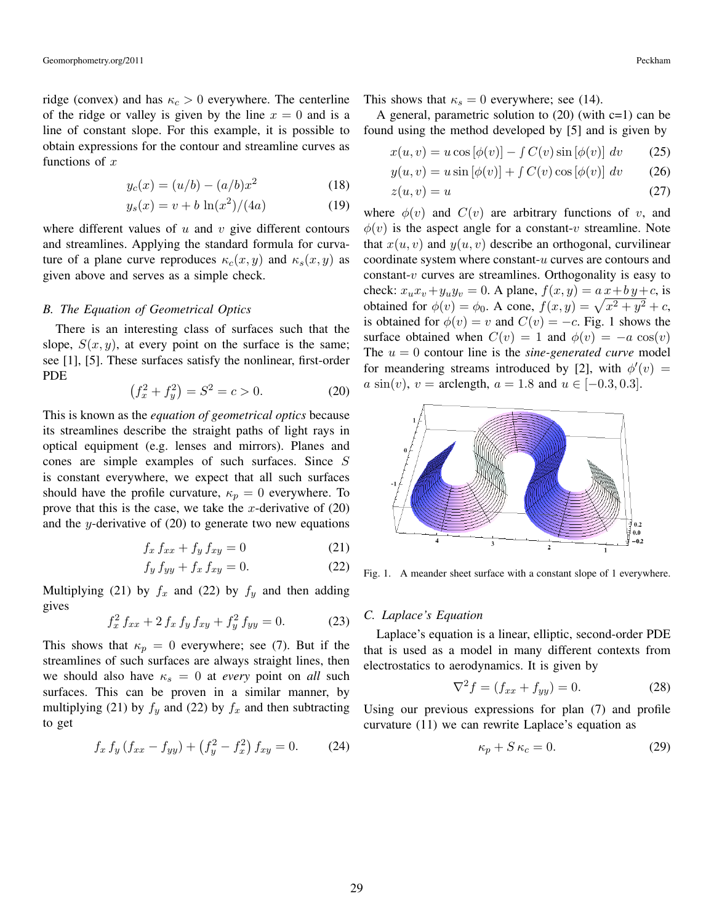ridge (convex) and has  $\kappa_c > 0$  everywhere. The centerline of the ridge or valley is given by the line  $x = 0$  and is a line of constant slope. For this example, it is possible to obtain expressions for the contour and streamline curves as functions of  $x$ 

$$
y_c(x) = (u/b) - (a/b)x^2
$$
 (18)

$$
y_s(x) = v + b \ln(x^2)/(4a)
$$
 (19)

where different values of  $u$  and  $v$  give different contours and streamlines. Applying the standard formula for curvature of a plane curve reproduces  $\kappa_c(x, y)$  and  $\kappa_s(x, y)$  as given above and serves as a simple check.

## *B. The Equation of Geometrical Optics*

There is an interesting class of surfaces such that the slope,  $S(x, y)$ , at every point on the surface is the same; see [1], [5]. These surfaces satisfy the nonlinear, first-order PDE

$$
(f_x^2 + f_y^2) = S^2 = c > 0.
$$
 (20)

This is known as the *equation of geometrical optics* because its streamlines describe the straight paths of light rays in optical equipment (e.g. lenses and mirrors). Planes and cones are simple examples of such surfaces. Since S is constant everywhere, we expect that all such surfaces should have the profile curvature,  $\kappa_p = 0$  everywhere. To prove that this is the case, we take the x-derivative of  $(20)$ and the y-derivative of  $(20)$  to generate two new equations

$$
f_x f_{xx} + f_y f_{xy} = 0 \tag{21}
$$

$$
f_y f_{yy} + f_x f_{xy} = 0.
$$
 (22)

Multiplying (21) by  $f_x$  and (22) by  $f_y$  and then adding gives

$$
f_x^2 f_{xx} + 2 f_x f_y f_{xy} + f_y^2 f_{yy} = 0.
$$
 (23)

This shows that  $\kappa_p = 0$  everywhere; see (7). But if the streamlines of such surfaces are always straight lines, then we should also have  $\kappa_s = 0$  at *every* point on *all* such surfaces. This can be proven in a similar manner, by multiplying (21) by  $f_y$  and (22) by  $f_x$  and then subtracting to get

$$
f_x f_y (f_{xx} - f_{yy}) + (f_y^2 - f_x^2) f_{xy} = 0.
$$
 (24)

This shows that  $\kappa_s = 0$  everywhere; see (14).

A general, parametric solution to  $(20)$  (with c=1) can be found using the method developed by [5] and is given by

$$
x(u, v) = u \cos [\phi(v)] - \int C(v) \sin [\phi(v)] dv \qquad (25)
$$

$$
y(u, v) = u \sin [\phi(v)] + \int C(v) \cos [\phi(v)] dv \qquad (26)
$$

$$
z(u,v) = u \tag{27}
$$

where  $\phi(v)$  and  $C(v)$  are arbitrary functions of v, and  $\phi(v)$  is the aspect angle for a constant-v streamline. Note that  $x(u, v)$  and  $y(u, v)$  describe an orthogonal, curvilinear coordinate system where constant-u curves are contours and constant- $v$  curves are streamlines. Orthogonality is easy to check:  $x_1x_2 + y_1y_2 = 0$ . A plane,  $f(x, y) = a x + b y + c$ , is obtained for  $\phi(v) = \phi_0$ . A cone,  $f(x, y) = \sqrt{x^2 + y^2} + c$ , is obtained for  $\phi(v) = v$  and  $C(v) = -c$ . Fig. 1 shows the surface obtained when  $C(v) = 1$  and  $\phi(v) = -a \cos(v)$ The  $u = 0$  contour line is the *sine-generated curve* model for meandering streams introduced by [2], with  $\phi'(v) =$  $a \sin(v)$ ,  $v = \text{arclength}, a = 1.8 \text{ and } u \in [-0.3, 0.3].$ 



Fig. 1. A meander sheet surface with a constant slope of 1 everywhere.

# *C. Laplace's Equation*

Laplace's equation is a linear, elliptic, second-order PDE that is used as a model in many different contexts from electrostatics to aerodynamics. It is given by

$$
\nabla^2 f = (f_{xx} + f_{yy}) = 0.
$$
 (28)

Using our previous expressions for plan (7) and profile curvature (11) we can rewrite Laplace's equation as

$$
\kappa_p + S \kappa_c = 0. \tag{29}
$$